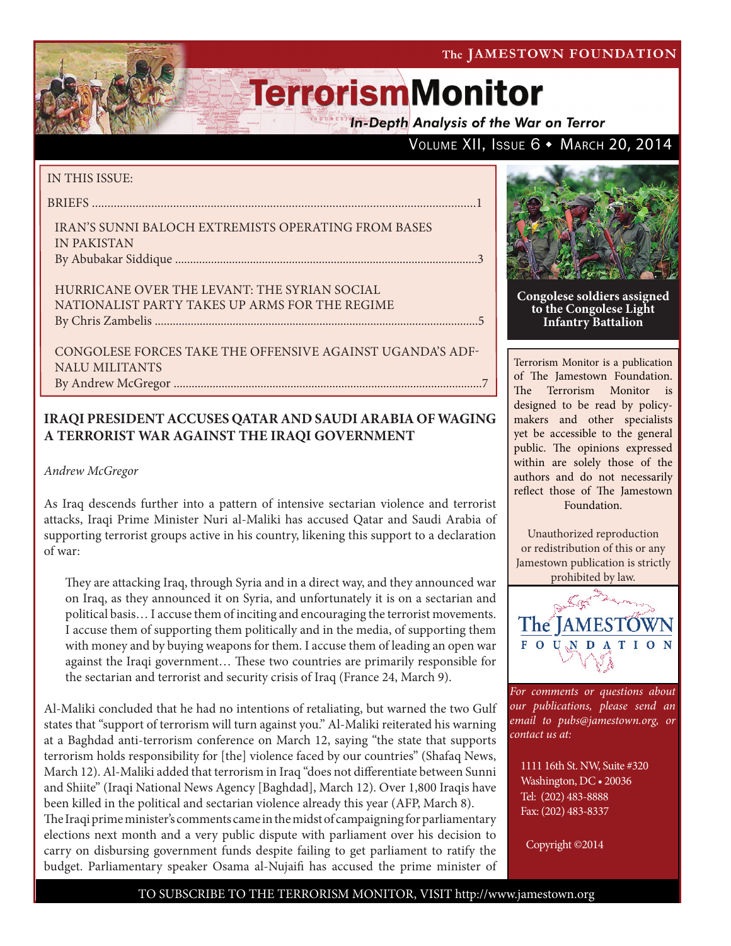VOLUME XII, ISSUE 6 · MARCH 20, 2014

# **TerrorismMonitor**

**In-Depth Analysis of the War on Terror** 

### IN THIS ISSUE:

briefs ...........................................................................................................................1

Iran's Sunni Baloch Extremists Operating from Bases in Pakistan By Abubakar Siddique .....................................................................................................3

Hurricane Over the Levant: The Syrian Social Nationalist Party Takes Up Arms for the Regime by Chris Zambelis ............................................................................................................5

Congolese Forces Take the Offensive Against Uganda's ADF-NALU Militants By Andrew McGregor .......................................................................................................7

### **IRAQI PRESIDENT ACCUSES QATAR AND SAUDI ARABIA OF WAGING A TERRORIST WAR AGAINST THE IRAQI GOVERNMENT**

*Andrew McGregor*

As Iraq descends further into a pattern of intensive sectarian violence and terrorist attacks, Iraqi Prime Minister Nuri al-Maliki has accused Qatar and Saudi Arabia of supporting terrorist groups active in his country, likening this support to a declaration of war:

They are attacking Iraq, through Syria and in a direct way, and they announced war on Iraq, as they announced it on Syria, and unfortunately it is on a sectarian and political basis… I accuse them of inciting and encouraging the terrorist movements. I accuse them of supporting them politically and in the media, of supporting them with money and by buying weapons for them. I accuse them of leading an open war against the Iraqi government… These two countries are primarily responsible for the sectarian and terrorist and security crisis of Iraq (France 24, March 9).

Al-Maliki concluded that he had no intentions of retaliating, but warned the two Gulf states that "support of terrorism will turn against you." Al-Maliki reiterated his warning at a Baghdad anti-terrorism conference on March 12, saying "the state that supports terrorism holds responsibility for [the] violence faced by our countries" (Shafaq News, March 12). Al-Maliki added that terrorism in Iraq "does not differentiate between Sunni and Shiite" (Iraqi National News Agency [Baghdad], March 12). Over 1,800 Iraqis have been killed in the political and sectarian violence already this year (AFP, March 8). The Iraqi prime minister's comments came in the midst of campaigning for parliamentary elections next month and a very public dispute with parliament over his decision to carry on disbursing government funds despite failing to get parliament to ratify the budget. Parliamentary speaker Osama al-Nujaifi has accused the prime minister of



**Congolese soldiers assigned to the Congolese Light Infantry Battalion**

Terrorism Monitor is a publication of The Jamestown Foundation. The Terrorism Monitor is designed to be read by policymakers and other specialists yet be accessible to the general public. The opinions expressed within are solely those of the authors and do not necessarily reflect those of The Jamestown Foundation.

Unauthorized reproduction or redistribution of this or any Jamestown publication is strictly prohibited by law.



*For comments or questions about our publications, please send an email to pubs@jamestown.org, or contact us at:* 

1111 16th St. NW, Suite #320 Washington, DC • 20036 Tel: (202) 483-8888 Fax: (202) 483-8337

Copyright ©2014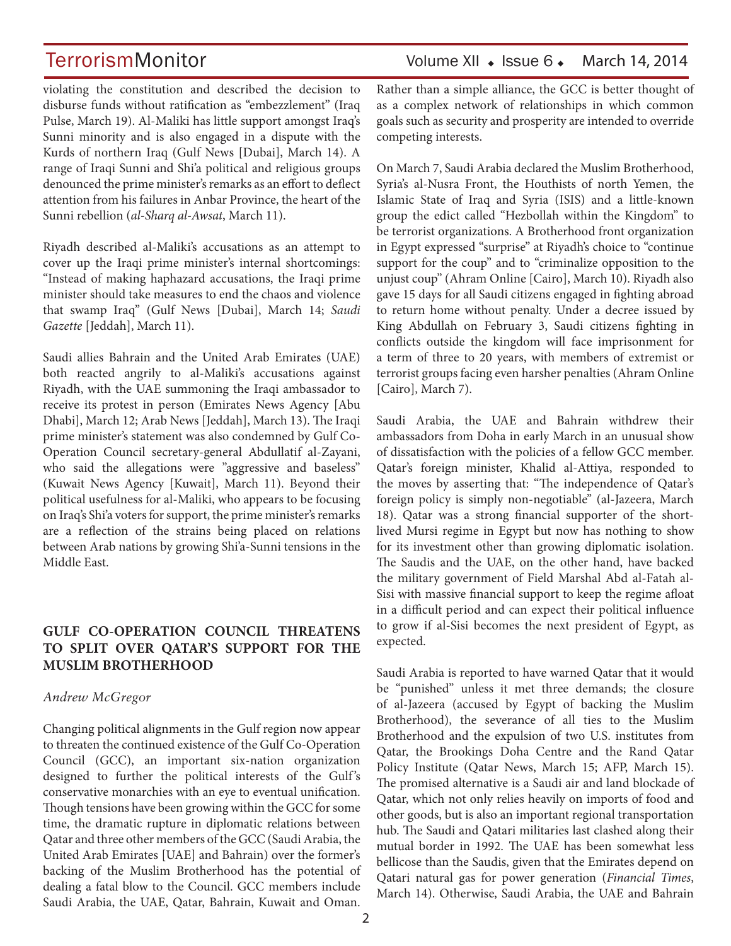# TerrorismMonitor Volume XII • Issue 6 • March 14, 2014

violating the constitution and described the decision to disburse funds without ratification as "embezzlement" (Iraq Pulse, March 19). Al-Maliki has little support amongst Iraq's Sunni minority and is also engaged in a dispute with the Kurds of northern Iraq (Gulf News [Dubai], March 14). A range of Iraqi Sunni and Shi'a political and religious groups denounced the prime minister's remarks as an effort to deflect attention from his failures in Anbar Province, the heart of the Sunni rebellion (*al-Sharq al-Awsat*, March 11).

Riyadh described al-Maliki's accusations as an attempt to cover up the Iraqi prime minister's internal shortcomings: "Instead of making haphazard accusations, the Iraqi prime minister should take measures to end the chaos and violence that swamp Iraq" (Gulf News [Dubai], March 14; *Saudi Gazette* [Jeddah], March 11).

Saudi allies Bahrain and the United Arab Emirates (UAE) both reacted angrily to al-Maliki's accusations against Riyadh, with the UAE summoning the Iraqi ambassador to receive its protest in person (Emirates News Agency [Abu Dhabi], March 12; Arab News [Jeddah], March 13). The Iraqi prime minister's statement was also condemned by Gulf Co-Operation Council secretary-general Abdullatif al-Zayani, who said the allegations were "aggressive and baseless" (Kuwait News Agency [Kuwait], March 11). Beyond their political usefulness for al-Maliki, who appears to be focusing on Iraq's Shi'a voters for support, the prime minister's remarks are a reflection of the strains being placed on relations between Arab nations by growing Shi'a-Sunni tensions in the Middle East.

### **GULF CO-OPERATION COUNCIL THREATENS TO SPLIT OVER QATAR'S SUPPORT FOR THE MUSLIM BROTHERHOOD**

### *Andrew McGregor*

Changing political alignments in the Gulf region now appear to threaten the continued existence of the Gulf Co-Operation Council (GCC), an important six-nation organization designed to further the political interests of the Gulf's conservative monarchies with an eye to eventual unification. Though tensions have been growing within the GCC for some time, the dramatic rupture in diplomatic relations between Qatar and three other members of the GCC (Saudi Arabia, the United Arab Emirates [UAE] and Bahrain) over the former's backing of the Muslim Brotherhood has the potential of dealing a fatal blow to the Council. GCC members include Saudi Arabia, the UAE, Qatar, Bahrain, Kuwait and Oman.

Rather than a simple alliance, the GCC is better thought of as a complex network of relationships in which common goals such as security and prosperity are intended to override competing interests.

On March 7, Saudi Arabia declared the Muslim Brotherhood, Syria's al-Nusra Front, the Houthists of north Yemen, the Islamic State of Iraq and Syria (ISIS) and a little-known group the edict called "Hezbollah within the Kingdom" to be terrorist organizations. A Brotherhood front organization in Egypt expressed "surprise" at Riyadh's choice to "continue support for the coup" and to "criminalize opposition to the unjust coup" (Ahram Online [Cairo], March 10). Riyadh also gave 15 days for all Saudi citizens engaged in fighting abroad to return home without penalty. Under a decree issued by King Abdullah on February 3, Saudi citizens fighting in conflicts outside the kingdom will face imprisonment for a term of three to 20 years, with members of extremist or terrorist groups facing even harsher penalties (Ahram Online [Cairo], March 7).

Saudi Arabia, the UAE and Bahrain withdrew their ambassadors from Doha in early March in an unusual show of dissatisfaction with the policies of a fellow GCC member. Qatar's foreign minister, Khalid al-Attiya, responded to the moves by asserting that: "The independence of Qatar's foreign policy is simply non-negotiable" (al-Jazeera, March 18). Qatar was a strong financial supporter of the shortlived Mursi regime in Egypt but now has nothing to show for its investment other than growing diplomatic isolation. The Saudis and the UAE, on the other hand, have backed the military government of Field Marshal Abd al-Fatah al-Sisi with massive financial support to keep the regime afloat in a difficult period and can expect their political influence to grow if al-Sisi becomes the next president of Egypt, as expected.

Saudi Arabia is reported to have warned Qatar that it would be "punished" unless it met three demands; the closure of al-Jazeera (accused by Egypt of backing the Muslim Brotherhood), the severance of all ties to the Muslim Brotherhood and the expulsion of two U.S. institutes from Qatar, the Brookings Doha Centre and the Rand Qatar Policy Institute (Qatar News, March 15; AFP, March 15). The promised alternative is a Saudi air and land blockade of Qatar, which not only relies heavily on imports of food and other goods, but is also an important regional transportation hub. The Saudi and Qatari militaries last clashed along their mutual border in 1992. The UAE has been somewhat less bellicose than the Saudis, given that the Emirates depend on Qatari natural gas for power generation (*Financial Times*, March 14). Otherwise, Saudi Arabia, the UAE and Bahrain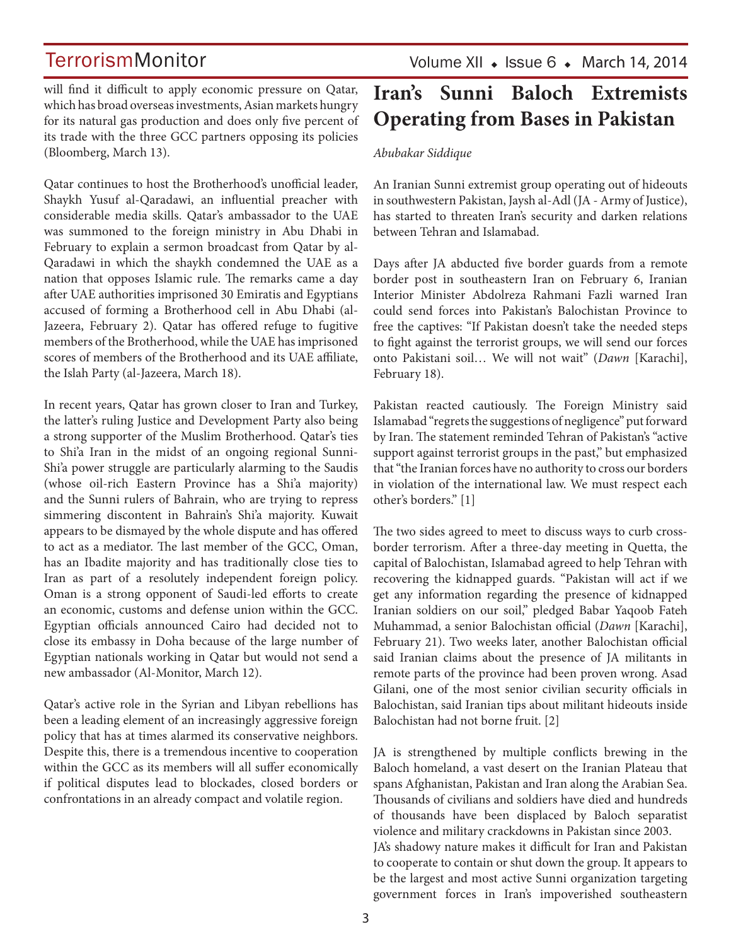will find it difficult to apply economic pressure on Qatar, which has broad overseas investments, Asian markets hungry for its natural gas production and does only five percent of its trade with the three GCC partners opposing its policies (Bloomberg, March 13).

Qatar continues to host the Brotherhood's unofficial leader, Shaykh Yusuf al-Qaradawi, an influential preacher with considerable media skills. Qatar's ambassador to the UAE was summoned to the foreign ministry in Abu Dhabi in February to explain a sermon broadcast from Qatar by al-Qaradawi in which the shaykh condemned the UAE as a nation that opposes Islamic rule. The remarks came a day after UAE authorities imprisoned 30 Emiratis and Egyptians accused of forming a Brotherhood cell in Abu Dhabi (al-Jazeera, February 2). Qatar has offered refuge to fugitive members of the Brotherhood, while the UAE has imprisoned scores of members of the Brotherhood and its UAE affiliate, the Islah Party (al-Jazeera, March 18).

In recent years, Qatar has grown closer to Iran and Turkey, the latter's ruling Justice and Development Party also being a strong supporter of the Muslim Brotherhood. Qatar's ties to Shi'a Iran in the midst of an ongoing regional Sunni-Shi'a power struggle are particularly alarming to the Saudis (whose oil-rich Eastern Province has a Shi'a majority) and the Sunni rulers of Bahrain, who are trying to repress simmering discontent in Bahrain's Shi'a majority. Kuwait appears to be dismayed by the whole dispute and has offered to act as a mediator. The last member of the GCC, Oman, has an Ibadite majority and has traditionally close ties to Iran as part of a resolutely independent foreign policy. Oman is a strong opponent of Saudi-led efforts to create an economic, customs and defense union within the GCC. Egyptian officials announced Cairo had decided not to close its embassy in Doha because of the large number of Egyptian nationals working in Qatar but would not send a new ambassador (Al-Monitor, March 12).

Qatar's active role in the Syrian and Libyan rebellions has been a leading element of an increasingly aggressive foreign policy that has at times alarmed its conservative neighbors. Despite this, there is a tremendous incentive to cooperation within the GCC as its members will all suffer economically if political disputes lead to blockades, closed borders or confrontations in an already compact and volatile region.

# **Iran's Sunni Baloch Extremists Operating from Bases in Pakistan**

*Abubakar Siddique*

An Iranian Sunni extremist group operating out of hideouts in southwestern Pakistan, Jaysh al-Adl (JA - Army of Justice), has started to threaten Iran's security and darken relations between Tehran and Islamabad.

Days after JA abducted five border guards from a remote border post in southeastern Iran on February 6, Iranian Interior Minister Abdolreza Rahmani Fazli warned Iran could send forces into Pakistan's Balochistan Province to free the captives: "If Pakistan doesn't take the needed steps to fight against the terrorist groups, we will send our forces onto Pakistani soil… We will not wait" (*Dawn* [Karachi], February 18).

Pakistan reacted cautiously. The Foreign Ministry said Islamabad "regrets the suggestions of negligence" put forward by Iran. The statement reminded Tehran of Pakistan's "active support against terrorist groups in the past," but emphasized that "the Iranian forces have no authority to cross our borders in violation of the international law. We must respect each other's borders." [1]

The two sides agreed to meet to discuss ways to curb crossborder terrorism. After a three-day meeting in Quetta, the capital of Balochistan, Islamabad agreed to help Tehran with recovering the kidnapped guards. "Pakistan will act if we get any information regarding the presence of kidnapped Iranian soldiers on our soil," pledged Babar Yaqoob Fateh Muhammad, a senior Balochistan official (*Dawn* [Karachi], February 21). Two weeks later, another Balochistan official said Iranian claims about the presence of JA militants in remote parts of the province had been proven wrong. Asad Gilani, one of the most senior civilian security officials in Balochistan, said Iranian tips about militant hideouts inside Balochistan had not borne fruit. [2]

JA is strengthened by multiple conflicts brewing in the Baloch homeland, a vast desert on the Iranian Plateau that spans Afghanistan, Pakistan and Iran along the Arabian Sea. Thousands of civilians and soldiers have died and hundreds of thousands have been displaced by Baloch separatist violence and military crackdowns in Pakistan since 2003. JA's shadowy nature makes it difficult for Iran and Pakistan to cooperate to contain or shut down the group. It appears to be the largest and most active Sunni organization targeting government forces in Iran's impoverished southeastern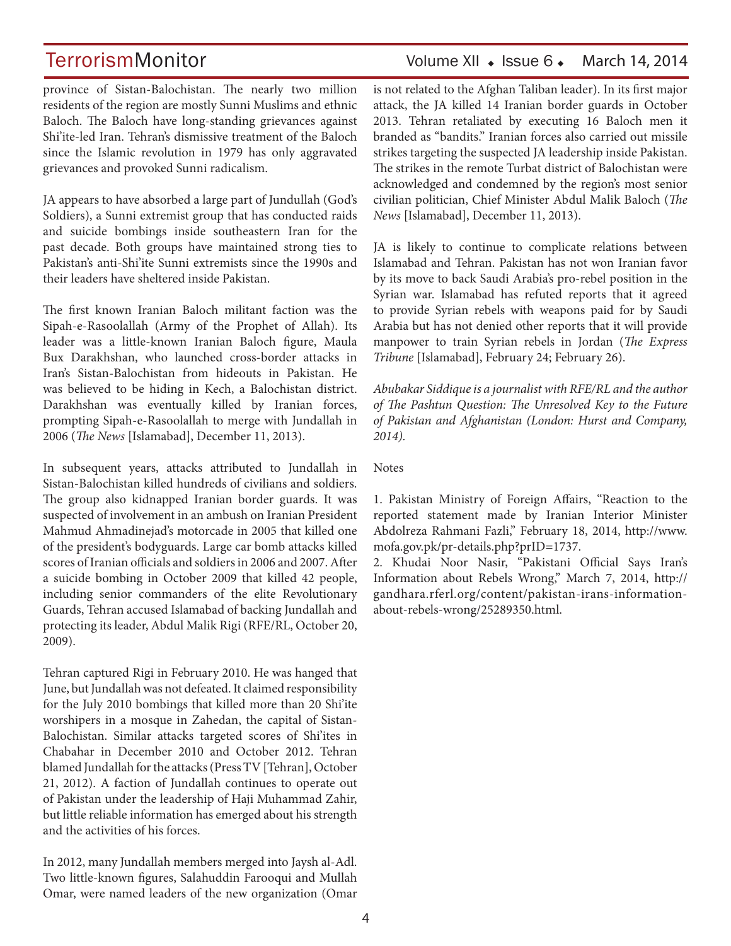# TerrorismMonitor Volume XII • Issue 6 • March 14, 2014

province of Sistan-Balochistan. The nearly two million residents of the region are mostly Sunni Muslims and ethnic Baloch. The Baloch have long-standing grievances against Shi'ite-led Iran. Tehran's dismissive treatment of the Baloch since the Islamic revolution in 1979 has only aggravated grievances and provoked Sunni radicalism.

JA appears to have absorbed a large part of Jundullah (God's Soldiers), a Sunni extremist group that has conducted raids and suicide bombings inside southeastern Iran for the past decade. Both groups have maintained strong ties to Pakistan's anti-Shi'ite Sunni extremists since the 1990s and their leaders have sheltered inside Pakistan.

The first known Iranian Baloch militant faction was the Sipah-e-Rasoolallah (Army of the Prophet of Allah). Its leader was a little-known Iranian Baloch figure, Maula Bux Darakhshan, who launched cross-border attacks in Iran's Sistan-Balochistan from hideouts in Pakistan. He was believed to be hiding in Kech, a Balochistan district. Darakhshan was eventually killed by Iranian forces, prompting Sipah-e-Rasoolallah to merge with Jundallah in 2006 (*The News* [Islamabad], December 11, 2013).

In subsequent years, attacks attributed to Jundallah in Sistan-Balochistan killed hundreds of civilians and soldiers. The group also kidnapped Iranian border guards. It was suspected of involvement in an ambush on Iranian President Mahmud Ahmadinejad's motorcade in 2005 that killed one of the president's bodyguards. Large car bomb attacks killed scores of Iranian officials and soldiers in 2006 and 2007. After a suicide bombing in October 2009 that killed 42 people, including senior commanders of the elite Revolutionary Guards, Tehran accused Islamabad of backing Jundallah and protecting its leader, Abdul Malik Rigi (RFE/RL, October 20, 2009).

Tehran captured Rigi in February 2010. He was hanged that June, but Jundallah was not defeated. It claimed responsibility for the July 2010 bombings that killed more than 20 Shi'ite worshipers in a mosque in Zahedan, the capital of Sistan-Balochistan. Similar attacks targeted scores of Shi'ites in Chabahar in December 2010 and October 2012. Tehran blamed Jundallah for the attacks (Press TV [Tehran], October 21, 2012). A faction of Jundallah continues to operate out of Pakistan under the leadership of Haji Muhammad Zahir, but little reliable information has emerged about his strength and the activities of his forces.

In 2012, many Jundallah members merged into Jaysh al-Adl. Two little-known figures, Salahuddin Farooqui and Mullah Omar, were named leaders of the new organization (Omar is not related to the Afghan Taliban leader). In its first major attack, the JA killed 14 Iranian border guards in October 2013. Tehran retaliated by executing 16 Baloch men it branded as "bandits." Iranian forces also carried out missile strikes targeting the suspected JA leadership inside Pakistan. The strikes in the remote Turbat district of Balochistan were acknowledged and condemned by the region's most senior civilian politician, Chief Minister Abdul Malik Baloch (*The News* [Islamabad], December 11, 2013).

JA is likely to continue to complicate relations between Islamabad and Tehran. Pakistan has not won Iranian favor by its move to back Saudi Arabia's pro-rebel position in the Syrian war. Islamabad has refuted reports that it agreed to provide Syrian rebels with weapons paid for by Saudi Arabia but has not denied other reports that it will provide manpower to train Syrian rebels in Jordan (*The Express Tribune* [Islamabad], February 24; February 26).

*Abubakar Siddique is a journalist with RFE/RL and the author of The Pashtun Question: The Unresolved Key to the Future of Pakistan and Afghanistan (London: Hurst and Company, 2014).*

**Notes** 

1. Pakistan Ministry of Foreign Affairs, "Reaction to the reported statement made by Iranian Interior Minister Abdolreza Rahmani Fazli," February 18, 2014, http://www. mofa.gov.pk/pr-details.php?prID=1737.

2. Khudai Noor Nasir, "Pakistani Official Says Iran's Information about Rebels Wrong," March 7, 2014, http:// gandhara.rferl.org/content/pakistan-irans-informationabout-rebels-wrong/25289350.html.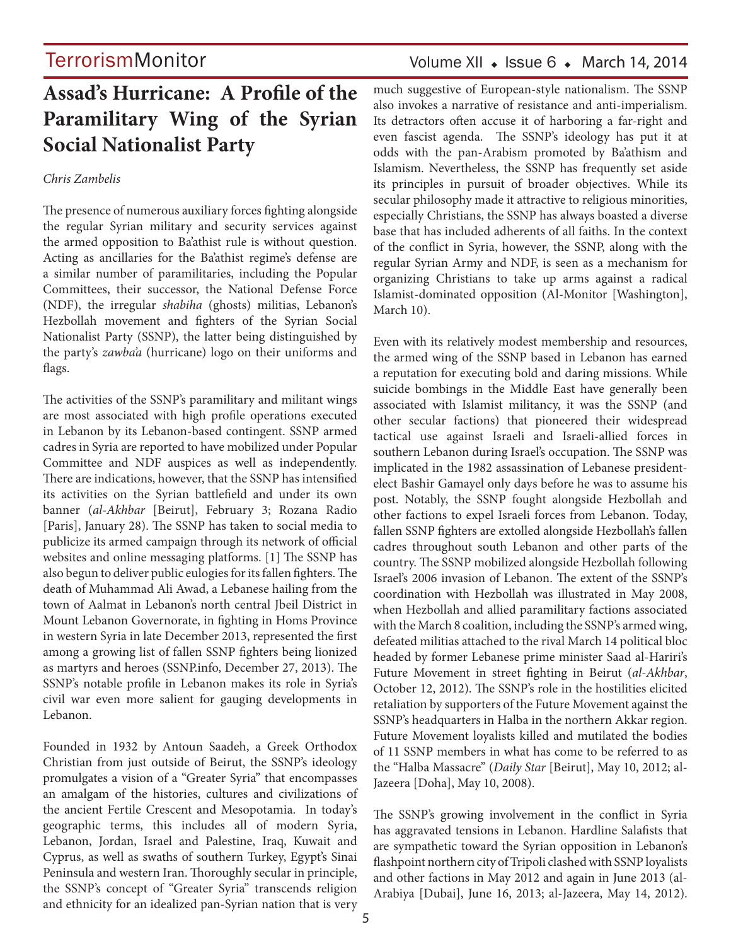# Volume XII  $\bullet$  Issue 6  $\bullet$  March 14, 2014

# **Assad's Hurricane: A Profile of the Paramilitary Wing of the Syrian Social Nationalist Party**

### *Chris Zambelis*

The presence of numerous auxiliary forces fighting alongside the regular Syrian military and security services against the armed opposition to Ba'athist rule is without question. Acting as ancillaries for the Ba'athist regime's defense are a similar number of paramilitaries, including the Popular Committees, their successor, the National Defense Force (NDF), the irregular *shabiha* (ghosts) militias, Lebanon's Hezbollah movement and fighters of the Syrian Social Nationalist Party (SSNP), the latter being distinguished by the party's *zawba'a* (hurricane) logo on their uniforms and flags.

The activities of the SSNP's paramilitary and militant wings are most associated with high profile operations executed in Lebanon by its Lebanon-based contingent. SSNP armed cadres in Syria are reported to have mobilized under Popular Committee and NDF auspices as well as independently. There are indications, however, that the SSNP has intensified its activities on the Syrian battlefield and under its own banner (*al-Akhbar* [Beirut], February 3; Rozana Radio [Paris], January 28). The SSNP has taken to social media to publicize its armed campaign through its network of official websites and online messaging platforms. [1] The SSNP has also begun to deliver public eulogies for its fallen fighters. The death of Muhammad Ali Awad, a Lebanese hailing from the town of Aalmat in Lebanon's north central Jbeil District in Mount Lebanon Governorate, in fighting in Homs Province in western Syria in late December 2013, represented the first among a growing list of fallen SSNP fighters being lionized as martyrs and heroes (SSNP.info, December 27, 2013). The SSNP's notable profile in Lebanon makes its role in Syria's civil war even more salient for gauging developments in Lebanon.

Founded in 1932 by Antoun Saadeh, a Greek Orthodox Christian from just outside of Beirut, the SSNP's ideology promulgates a vision of a "Greater Syria" that encompasses an amalgam of the histories, cultures and civilizations of the ancient Fertile Crescent and Mesopotamia. In today's geographic terms, this includes all of modern Syria, Lebanon, Jordan, Israel and Palestine, Iraq, Kuwait and Cyprus, as well as swaths of southern Turkey, Egypt's Sinai Peninsula and western Iran. Thoroughly secular in principle, the SSNP's concept of "Greater Syria" transcends religion and ethnicity for an idealized pan-Syrian nation that is very much suggestive of European-style nationalism. The SSNP also invokes a narrative of resistance and anti-imperialism. Its detractors often accuse it of harboring a far-right and even fascist agenda. The SSNP's ideology has put it at odds with the pan-Arabism promoted by Ba'athism and Islamism. Nevertheless, the SSNP has frequently set aside its principles in pursuit of broader objectives. While its secular philosophy made it attractive to religious minorities, especially Christians, the SSNP has always boasted a diverse base that has included adherents of all faiths. In the context of the conflict in Syria, however, the SSNP, along with the regular Syrian Army and NDF, is seen as a mechanism for organizing Christians to take up arms against a radical Islamist-dominated opposition (Al-Monitor [Washington], March 10).

Even with its relatively modest membership and resources, the armed wing of the SSNP based in Lebanon has earned a reputation for executing bold and daring missions. While suicide bombings in the Middle East have generally been associated with Islamist militancy, it was the SSNP (and other secular factions) that pioneered their widespread tactical use against Israeli and Israeli-allied forces in southern Lebanon during Israel's occupation. The SSNP was implicated in the 1982 assassination of Lebanese presidentelect Bashir Gamayel only days before he was to assume his post. Notably, the SSNP fought alongside Hezbollah and other factions to expel Israeli forces from Lebanon. Today, fallen SSNP fighters are extolled alongside Hezbollah's fallen cadres throughout south Lebanon and other parts of the country. The SSNP mobilized alongside Hezbollah following Israel's 2006 invasion of Lebanon. The extent of the SSNP's coordination with Hezbollah was illustrated in May 2008, when Hezbollah and allied paramilitary factions associated with the March 8 coalition, including the SSNP's armed wing, defeated militias attached to the rival March 14 political bloc headed by former Lebanese prime minister Saad al-Hariri's Future Movement in street fighting in Beirut (*al-Akhbar*, October 12, 2012). The SSNP's role in the hostilities elicited retaliation by supporters of the Future Movement against the SSNP's headquarters in Halba in the northern Akkar region. Future Movement loyalists killed and mutilated the bodies of 11 SSNP members in what has come to be referred to as the "Halba Massacre" (*Daily Star* [Beirut], May 10, 2012; al-Jazeera [Doha], May 10, 2008).

The SSNP's growing involvement in the conflict in Syria has aggravated tensions in Lebanon. Hardline Salafists that are sympathetic toward the Syrian opposition in Lebanon's flashpoint northern city of Tripoli clashed with SSNP loyalists and other factions in May 2012 and again in June 2013 (al-Arabiya [Dubai], June 16, 2013; al-Jazeera, May 14, 2012).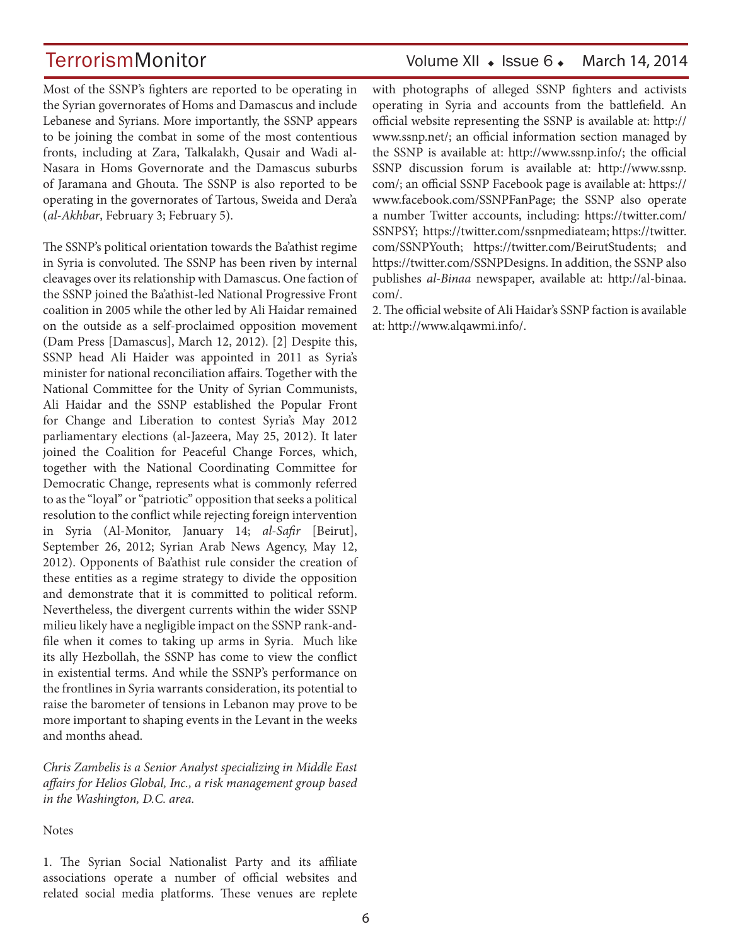# TerrorismMonitor Volume XII • Issue 6 • March 14, 2014

Most of the SSNP's fighters are reported to be operating in the Syrian governorates of Homs and Damascus and include Lebanese and Syrians. More importantly, the SSNP appears to be joining the combat in some of the most contentious fronts, including at Zara, Talkalakh, Qusair and Wadi al-Nasara in Homs Governorate and the Damascus suburbs of Jaramana and Ghouta. The SSNP is also reported to be operating in the governorates of Tartous, Sweida and Dera'a (*al-Akhbar*, February 3; February 5).

The SSNP's political orientation towards the Ba'athist regime in Syria is convoluted. The SSNP has been riven by internal cleavages over its relationship with Damascus. One faction of the SSNP joined the Ba'athist-led National Progressive Front coalition in 2005 while the other led by Ali Haidar remained on the outside as a self-proclaimed opposition movement (Dam Press [Damascus], March 12, 2012). [2] Despite this, SSNP head Ali Haider was appointed in 2011 as Syria's minister for national reconciliation affairs. Together with the National Committee for the Unity of Syrian Communists, Ali Haidar and the SSNP established the Popular Front for Change and Liberation to contest Syria's May 2012 parliamentary elections (al-Jazeera, May 25, 2012). It later joined the Coalition for Peaceful Change Forces, which, together with the National Coordinating Committee for Democratic Change, represents what is commonly referred to as the "loyal" or "patriotic" opposition that seeks a political resolution to the conflict while rejecting foreign intervention in Syria (Al-Monitor, January 14; *al-Safir* [Beirut], September 26, 2012; Syrian Arab News Agency, May 12, 2012). Opponents of Ba'athist rule consider the creation of these entities as a regime strategy to divide the opposition and demonstrate that it is committed to political reform. Nevertheless, the divergent currents within the wider SSNP milieu likely have a negligible impact on the SSNP rank-andfile when it comes to taking up arms in Syria. Much like its ally Hezbollah, the SSNP has come to view the conflict in existential terms. And while the SSNP's performance on the frontlines in Syria warrants consideration, its potential to raise the barometer of tensions in Lebanon may prove to be more important to shaping events in the Levant in the weeks and months ahead.

*Chris Zambelis is a Senior Analyst specializing in Middle East affairs for Helios Global, Inc., a risk management group based in the Washington, D.C. area.*

### **Notes**

1. The Syrian Social Nationalist Party and its affiliate associations operate a number of official websites and related social media platforms. These venues are replete with photographs of alleged SSNP fighters and activists operating in Syria and accounts from the battlefield. An official website representing the SSNP is available at: http:// www.ssnp.net/; an official information section managed by the SSNP is available at: http://www.ssnp.info/; the official SSNP discussion forum is available at: http://www.ssnp. com/; an official SSNP Facebook page is available at: https:// www.facebook.com/SSNPFanPage; the SSNP also operate a number Twitter accounts, including: https://twitter.com/ SSNPSY; https://twitter.com/ssnpmediateam; https://twitter. com/SSNPYouth; https://twitter.com/BeirutStudents; and https://twitter.com/SSNPDesigns. In addition, the SSNP also publishes *al-Binaa* newspaper, available at: http://al-binaa. com/.

2. The official website of Ali Haidar's SSNP faction is available at: http://www.alqawmi.info/.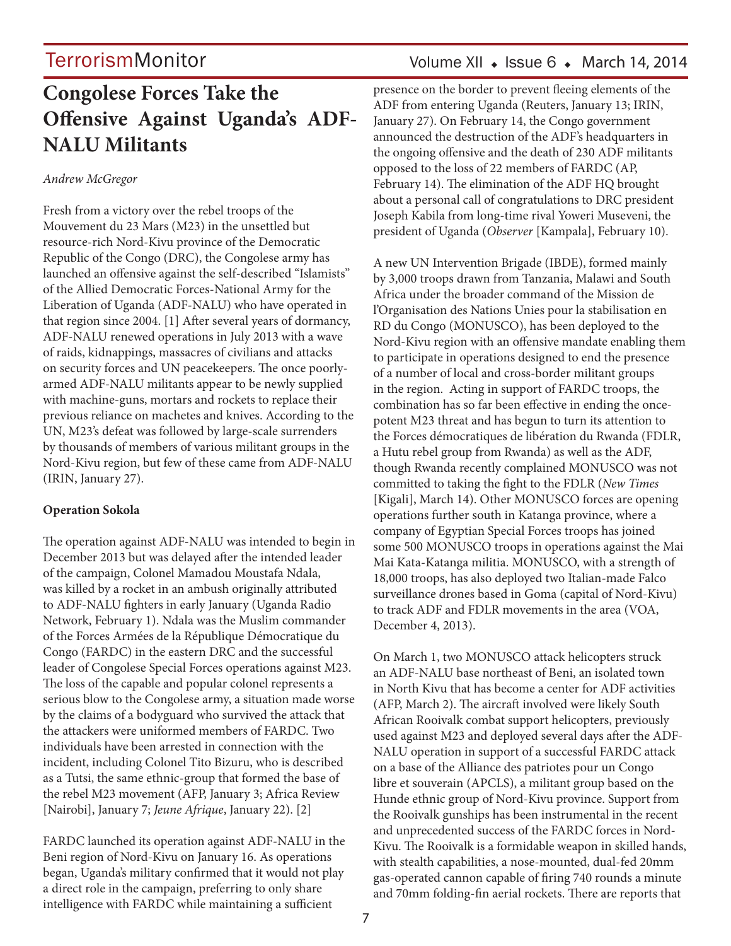# **Congolese Forces Take the Offensive Against Uganda's ADF-NALU Militants**

### *Andrew McGregor*

Fresh from a victory over the rebel troops of the Mouvement du 23 Mars (M23) in the unsettled but resource-rich Nord-Kivu province of the Democratic Republic of the Congo (DRC), the Congolese army has launched an offensive against the self-described "Islamists" of the Allied Democratic Forces-National Army for the Liberation of Uganda (ADF-NALU) who have operated in that region since 2004. [1] After several years of dormancy, ADF-NALU renewed operations in July 2013 with a wave of raids, kidnappings, massacres of civilians and attacks on security forces and UN peacekeepers. The once poorlyarmed ADF-NALU militants appear to be newly supplied with machine-guns, mortars and rockets to replace their previous reliance on machetes and knives. According to the UN, M23's defeat was followed by large-scale surrenders by thousands of members of various militant groups in the Nord-Kivu region, but few of these came from ADF-NALU (IRIN, January 27).

### **Operation Sokola**

The operation against ADF-NALU was intended to begin in December 2013 but was delayed after the intended leader of the campaign, Colonel Mamadou Moustafa Ndala, was killed by a rocket in an ambush originally attributed to ADF-NALU fighters in early January (Uganda Radio Network, February 1). Ndala was the Muslim commander of the Forces Armées de la République Démocratique du Congo (FARDC) in the eastern DRC and the successful leader of Congolese Special Forces operations against M23. The loss of the capable and popular colonel represents a serious blow to the Congolese army, a situation made worse by the claims of a bodyguard who survived the attack that the attackers were uniformed members of FARDC. Two individuals have been arrested in connection with the incident, including Colonel Tito Bizuru, who is described as a Tutsi, the same ethnic-group that formed the base of the rebel M23 movement (AFP, January 3; Africa Review [Nairobi], January 7; *Jeune Afrique*, January 22). [2]

FARDC launched its operation against ADF-NALU in the Beni region of Nord-Kivu on January 16. As operations began, Uganda's military confirmed that it would not play a direct role in the campaign, preferring to only share intelligence with FARDC while maintaining a sufficient

## Volume XII  $\bullet$  Issue 6  $\bullet$  March 14, 2014

presence on the border to prevent fleeing elements of the ADF from entering Uganda (Reuters, January 13; IRIN, January 27). On February 14, the Congo government announced the destruction of the ADF's headquarters in the ongoing offensive and the death of 230 ADF militants opposed to the loss of 22 members of FARDC (AP, February 14). The elimination of the ADF HQ brought about a personal call of congratulations to DRC president Joseph Kabila from long-time rival Yoweri Museveni, the president of Uganda (*Observer* [Kampala], February 10).

A new UN Intervention Brigade (IBDE), formed mainly by 3,000 troops drawn from Tanzania, Malawi and South Africa under the broader command of the Mission de l'Organisation des Nations Unies pour la stabilisation en RD du Congo (MONUSCO), has been deployed to the Nord-Kivu region with an offensive mandate enabling them to participate in operations designed to end the presence of a number of local and cross-border militant groups in the region. Acting in support of FARDC troops, the combination has so far been effective in ending the oncepotent M23 threat and has begun to turn its attention to the Forces démocratiques de libération du Rwanda (FDLR, a Hutu rebel group from Rwanda) as well as the ADF, though Rwanda recently complained MONUSCO was not committed to taking the fight to the FDLR (*New Times* [Kigali], March 14). Other MONUSCO forces are opening operations further south in Katanga province, where a company of Egyptian Special Forces troops has joined some 500 MONUSCO troops in operations against the Mai Mai Kata-Katanga militia. MONUSCO, with a strength of 18,000 troops, has also deployed two Italian-made Falco surveillance drones based in Goma (capital of Nord-Kivu) to track ADF and FDLR movements in the area (VOA, December 4, 2013).

On March 1, two MONUSCO attack helicopters struck an ADF-NALU base northeast of Beni, an isolated town in North Kivu that has become a center for ADF activities (AFP, March 2). The aircraft involved were likely South African Rooivalk combat support helicopters, previously used against M23 and deployed several days after the ADF-NALU operation in support of a successful FARDC attack on a base of the Alliance des patriotes pour un Congo libre et souverain (APCLS), a militant group based on the Hunde ethnic group of Nord-Kivu province. Support from the Rooivalk gunships has been instrumental in the recent and unprecedented success of the FARDC forces in Nord-Kivu. The Rooivalk is a formidable weapon in skilled hands, with stealth capabilities, a nose-mounted, dual-fed 20mm gas-operated cannon capable of firing 740 rounds a minute and 70mm folding-fin aerial rockets. There are reports that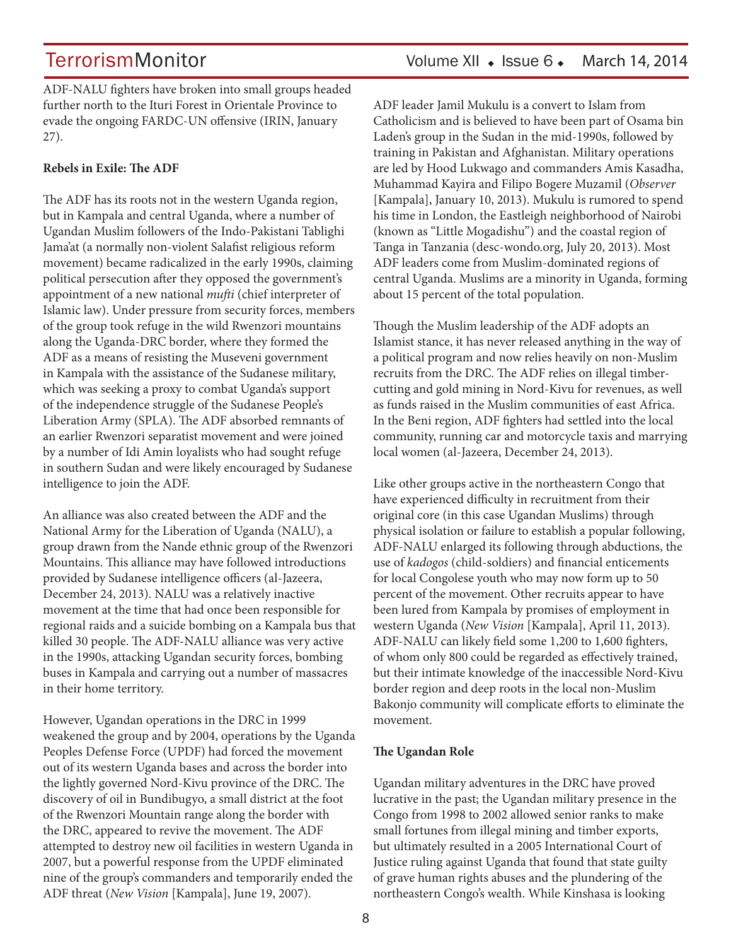ADF-NALU fighters have broken into small groups headed further north to the Ituri Forest in Orientale Province to evade the ongoing FARDC-UN offensive (IRIN, January 27).

### **Rebels in Exile: The ADF**

The ADF has its roots not in the western Uganda region, but in Kampala and central Uganda, where a number of Ugandan Muslim followers of the Indo-Pakistani Tablighi Jama'at (a normally non-violent Salafist religious reform movement) became radicalized in the early 1990s, claiming political persecution after they opposed the government's appointment of a new national *mufti* (chief interpreter of Islamic law). Under pressure from security forces, members of the group took refuge in the wild Rwenzori mountains along the Uganda-DRC border, where they formed the ADF as a means of resisting the Museveni government in Kampala with the assistance of the Sudanese military, which was seeking a proxy to combat Uganda's support of the independence struggle of the Sudanese People's Liberation Army (SPLA). The ADF absorbed remnants of an earlier Rwenzori separatist movement and were joined by a number of Idi Amin loyalists who had sought refuge in southern Sudan and were likely encouraged by Sudanese intelligence to join the ADF.

An alliance was also created between the ADF and the National Army for the Liberation of Uganda (NALU), a group drawn from the Nande ethnic group of the Rwenzori Mountains. This alliance may have followed introductions provided by Sudanese intelligence officers (al-Jazeera, December 24, 2013). NALU was a relatively inactive movement at the time that had once been responsible for regional raids and a suicide bombing on a Kampala bus that killed 30 people. The ADF-NALU alliance was very active in the 1990s, attacking Ugandan security forces, bombing buses in Kampala and carrying out a number of massacres in their home territory.

However, Ugandan operations in the DRC in 1999 weakened the group and by 2004, operations by the Uganda Peoples Defense Force (UPDF) had forced the movement out of its western Uganda bases and across the border into the lightly governed Nord-Kivu province of the DRC. The discovery of oil in Bundibugyo, a small district at the foot of the Rwenzori Mountain range along the border with the DRC, appeared to revive the movement. The ADF attempted to destroy new oil facilities in western Uganda in 2007, but a powerful response from the UPDF eliminated nine of the group's commanders and temporarily ended the ADF threat (*New Vision* [Kampala], June 19, 2007).

ADF leader Jamil Mukulu is a convert to Islam from Catholicism and is believed to have been part of Osama bin Laden's group in the Sudan in the mid-1990s, followed by training in Pakistan and Afghanistan. Military operations are led by Hood Lukwago and commanders Amis Kasadha, Muhammad Kayira and Filipo Bogere Muzamil (*Observer* [Kampala], January 10, 2013). Mukulu is rumored to spend his time in London, the Eastleigh neighborhood of Nairobi (known as "Little Mogadishu") and the coastal region of Tanga in Tanzania (desc-wondo.org, July 20, 2013). Most ADF leaders come from Muslim-dominated regions of central Uganda. Muslims are a minority in Uganda, forming about 15 percent of the total population.

Though the Muslim leadership of the ADF adopts an Islamist stance, it has never released anything in the way of a political program and now relies heavily on non-Muslim recruits from the DRC. The ADF relies on illegal timbercutting and gold mining in Nord-Kivu for revenues, as well as funds raised in the Muslim communities of east Africa. In the Beni region, ADF fighters had settled into the local community, running car and motorcycle taxis and marrying local women (al-Jazeera, December 24, 2013).

Like other groups active in the northeastern Congo that have experienced difficulty in recruitment from their original core (in this case Ugandan Muslims) through physical isolation or failure to establish a popular following, ADF-NALU enlarged its following through abductions, the use of *kadogos* (child-soldiers) and financial enticements for local Congolese youth who may now form up to 50 percent of the movement. Other recruits appear to have been lured from Kampala by promises of employment in western Uganda (*New Vision* [Kampala], April 11, 2013). ADF-NALU can likely field some 1,200 to 1,600 fighters, of whom only 800 could be regarded as effectively trained, but their intimate knowledge of the inaccessible Nord-Kivu border region and deep roots in the local non-Muslim Bakonjo community will complicate efforts to eliminate the movement.

### **The Ugandan Role**

Ugandan military adventures in the DRC have proved lucrative in the past; the Ugandan military presence in the Congo from 1998 to 2002 allowed senior ranks to make small fortunes from illegal mining and timber exports, but ultimately resulted in a 2005 International Court of Justice ruling against Uganda that found that state guilty of grave human rights abuses and the plundering of the northeastern Congo's wealth. While Kinshasa is looking